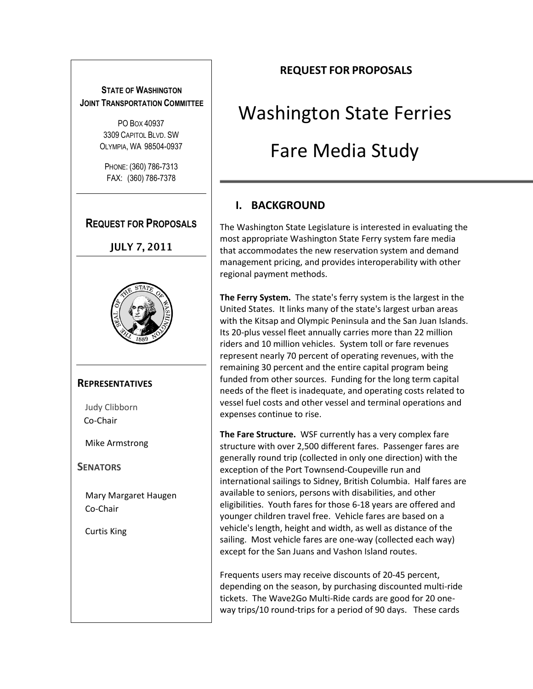## **STATE OF WASHINGTON JOINT TRANSPORTATION COMMITTEE**

PO BOX 40937 3309 CAPITOL BLVD. SW OLYMPIA, WA 98504-0937

PHONE: (360) 786-7313 FAX: (360) 786-7378

## **REQUEST FOR PROPOSALS**

**JULY 7, 2011** 



#### **REPRESENTATIVES**

Judy Clibborn Co-Chair

Mike Armstrong

**SENATORS**

Mary Margaret Haugen Co-Chair

Curtis King

## **REQUEST FOR PROPOSALS**

# Washington State Ferries Fare Media Study

# **I. BACKGROUND**

The Washington State Legislature is interested in evaluating the most appropriate Washington State Ferry system fare media that accommodates the new reservation system and demand management pricing, and provides interoperability with other regional payment methods.

**The Ferry System.** The state's ferry system is the largest in the United States. It links many of the state's largest urban areas with the Kitsap and Olympic Peninsula and the San Juan Islands. Its 20-plus vessel fleet annually carries more than 22 million riders and 10 million vehicles. System toll or fare revenues represent nearly 70 percent of operating revenues, with the remaining 30 percent and the entire capital program being funded from other sources. Funding for the long term capital needs of the fleet is inadequate, and operating costs related to vessel fuel costs and other vessel and terminal operations and expenses continue to rise.

**The Fare Structure.** WSF currently has a very complex fare structure with over 2,500 different fares. Passenger fares are generally round trip (collected in only one direction) with the exception of the Port Townsend-Coupeville run and international sailings to Sidney, British Columbia. Half fares are available to seniors, persons with disabilities, and other eligibilities. Youth fares for those 6-18 years are offered and younger children travel free. Vehicle fares are based on a vehicle's length, height and width, as well as distance of the sailing. Most vehicle fares are one-way (collected each way) except for the San Juans and Vashon Island routes.

Frequents users may receive discounts of 20-45 percent, depending on the season, by purchasing discounted multi-ride tickets. The Wave2Go Multi-Ride cards are good for 20 oneway trips/10 round-trips for a period of 90 days. These cards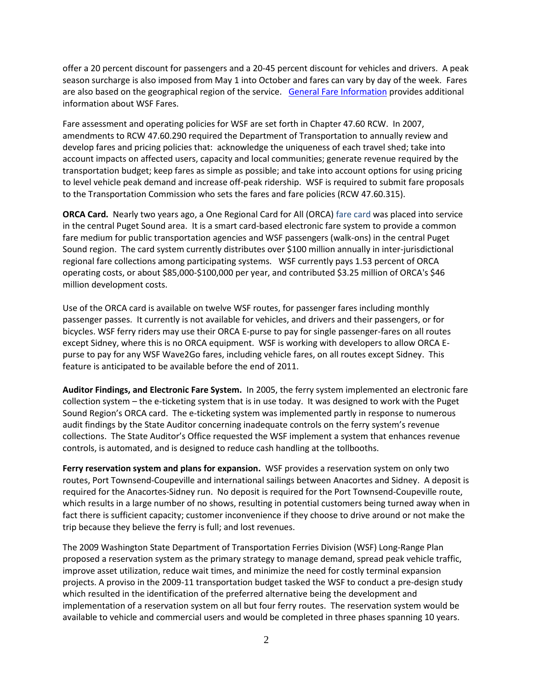offer a 20 percent discount for passengers and a 20-45 percent discount for vehicles and drivers. A peak season surcharge is also imposed from May 1 into October and fares can vary by day of the week. Fares are also based on the geographical region of the service. [General Fare Information](http://www.wsdot.wa.gov/Ferries/infodesk/FareInfo.htm) provides additional information about WSF Fares.

Fare assessment and operating policies for WSF are set forth in Chapter 47.60 RCW. In 2007, amendments to RCW 47.60.290 required the Department of Transportation to annually review and develop fares and pricing policies that: acknowledge the uniqueness of each travel shed; take into account impacts on affected users, capacity and local communities; generate revenue required by the transportation budget; keep fares as simple as possible; and take into account options for using pricing to level vehicle peak demand and increase off-peak ridership. WSF is required to submit fare proposals to the Transportation Commission who sets the fares and fare policies (RCW 47.60.315).

**ORCA Card.** Nearly two years ago, a One Regional Card for All (ORCA) fare card was placed into service in the central Puget Sound area. It is a smart card-based electronic fare system to provide a common fare medium for public transportation agencies and WSF passengers (walk-ons) in the central Puget Sound region. The card system currently distributes over \$100 million annually in inter-jurisdictional regional fare collections among participating systems. WSF currently pays 1.53 percent of ORCA operating costs, or about \$85,000-\$100,000 per year, and contributed \$3.25 million of ORCA's \$46 million development costs.

Use of the ORCA card is available on twelve WSF routes, for passenger fares including monthly passenger passes. It currently is not available for vehicles, and drivers and their passengers, or for bicycles. WSF ferry riders may use their ORCA E-purse to pay for single passenger-fares on all routes except Sidney, where this is no ORCA equipment. WSF is working with developers to allow ORCA Epurse to pay for any WSF Wave2Go fares, including vehicle fares, on all routes except Sidney. This feature is anticipated to be available before the end of 2011.

**Auditor Findings, and Electronic Fare System.** In 2005, the ferry system implemented an electronic fare collection system – the e-ticketing system that is in use today. It was designed to work with the Puget Sound Region's ORCA card. The e-ticketing system was implemented partly in response to numerous audit findings by the State Auditor concerning inadequate controls on the ferry system's revenue collections. The State Auditor's Office requested the WSF implement a system that enhances revenue controls, is automated, and is designed to reduce cash handling at the tollbooths.

**Ferry reservation system and plans for expansion.** WSF provides a reservation system on only two routes, Port Townsend-Coupeville and international sailings between Anacortes and Sidney. A deposit is required for the Anacortes-Sidney run. No deposit is required for the Port Townsend-Coupeville route, which results in a large number of no shows, resulting in potential customers being turned away when in fact there is sufficient capacity; customer inconvenience if they choose to drive around or not make the trip because they believe the ferry is full; and lost revenues.

The 2009 Washington State Department of Transportation Ferries Division (WSF) Long‐Range Plan proposed a reservation system as the primary strategy to manage demand, spread peak vehicle traffic, improve asset utilization, reduce wait times, and minimize the need for costly terminal expansion projects. A proviso in the 2009‐11 transportation budget tasked the WSF to conduct a pre-design study which resulted in the identification of the preferred alternative being the development and implementation of a reservation system on all but four ferry routes. The reservation system would be available to vehicle and commercial users and would be completed in three phases spanning 10 years.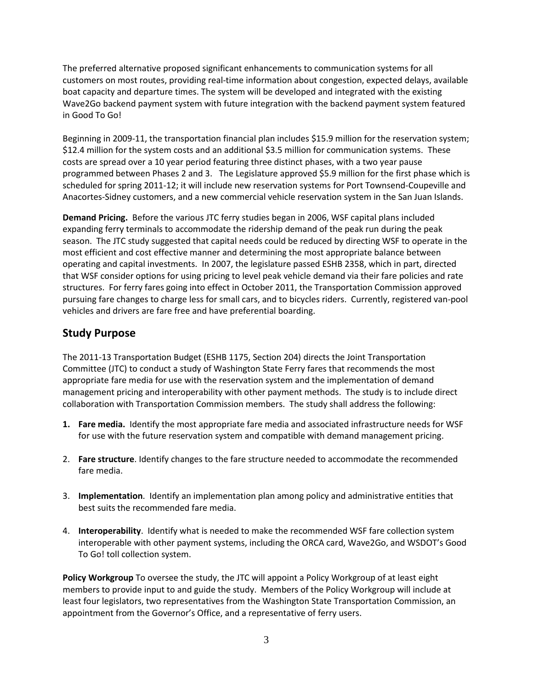The preferred alternative proposed significant enhancements to communication systems for all customers on most routes, providing real‐time information about congestion, expected delays, available boat capacity and departure times. The system will be developed and integrated with the existing Wave2Go backend payment system with future integration with the backend payment system featured in Good To Go!

Beginning in 2009-11, the transportation financial plan includes \$15.9 million for the reservation system; \$12.4 million for the system costs and an additional \$3.5 million for communication systems. These costs are spread over a 10 year period featuring three distinct phases, with a two year pause programmed between Phases 2 and 3. The Legislature approved \$5.9 million for the first phase which is scheduled for spring 2011-12; it will include new reservation systems for Port Townsend-Coupeville and Anacortes-Sidney customers, and a new commercial vehicle reservation system in the San Juan Islands.

**Demand Pricing.** Before the various JTC ferry studies began in 2006, WSF capital plans included expanding ferry terminals to accommodate the ridership demand of the peak run during the peak season. The JTC study suggested that capital needs could be reduced by directing WSF to operate in the most efficient and cost effective manner and determining the most appropriate balance between operating and capital investments. In 2007, the legislature passed ESHB 2358, which in part, directed that WSF consider options for using pricing to level peak vehicle demand via their fare policies and rate structures. For ferry fares going into effect in October 2011, the Transportation Commission approved pursuing fare changes to charge less for small cars, and to bicycles riders. Currently, registered van-pool vehicles and drivers are fare free and have preferential boarding.

## **Study Purpose**

The 2011-13 Transportation Budget (ESHB 1175, Section 204) directs the Joint Transportation Committee (JTC) to conduct a study of Washington State Ferry fares that recommends the most appropriate fare media for use with the reservation system and the implementation of demand management pricing and interoperability with other payment methods. The study is to include direct collaboration with Transportation Commission members. The study shall address the following:

- **1. Fare media.** Identify the most appropriate fare media and associated infrastructure needs for WSF for use with the future reservation system and compatible with demand management pricing.
- 2. **Fare structure**. Identify changes to the fare structure needed to accommodate the recommended fare media.
- 3. **Implementation**. Identify an implementation plan among policy and administrative entities that best suits the recommended fare media.
- 4. **Interoperability**. Identify what is needed to make the recommended WSF fare collection system interoperable with other payment systems, including the ORCA card, Wave2Go, and WSDOT's Good To Go! toll collection system.

**Policy Workgroup** To oversee the study, the JTC will appoint a Policy Workgroup of at least eight members to provide input to and guide the study. Members of the Policy Workgroup will include at least four legislators, two representatives from the Washington State Transportation Commission, an appointment from the Governor's Office, and a representative of ferry users.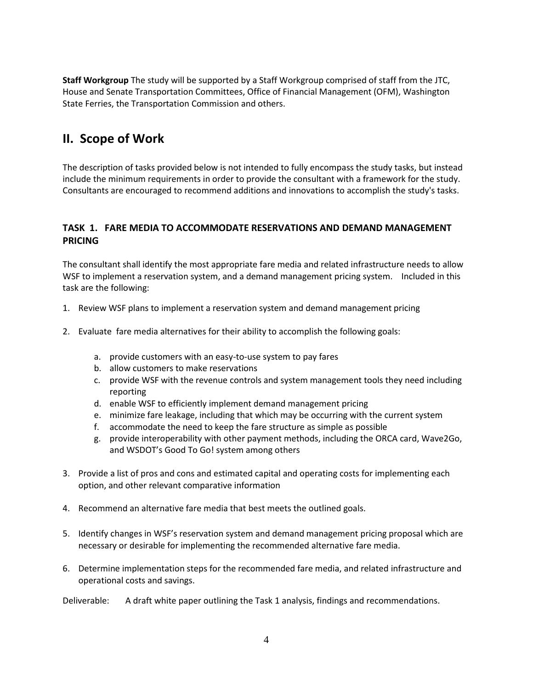**Staff Workgroup** The study will be supported by a Staff Workgroup comprised of staff from the JTC, House and Senate Transportation Committees, Office of Financial Management (OFM), Washington State Ferries, the Transportation Commission and others.

# **II. Scope of Work**

The description of tasks provided below is not intended to fully encompass the study tasks, but instead include the minimum requirements in order to provide the consultant with a framework for the study. Consultants are encouraged to recommend additions and innovations to accomplish the study's tasks.

#### **TASK 1. FARE MEDIA TO ACCOMMODATE RESERVATIONS AND DEMAND MANAGEMENT PRICING**

The consultant shall identify the most appropriate fare media and related infrastructure needs to allow WSF to implement a reservation system, and a demand management pricing system. Included in this task are the following:

- 1. Review WSF plans to implement a reservation system and demand management pricing
- 2. Evaluate fare media alternatives for their ability to accomplish the following goals:
	- a. provide customers with an easy-to-use system to pay fares
	- b. allow customers to make reservations
	- c. provide WSF with the revenue controls and system management tools they need including reporting
	- d. enable WSF to efficiently implement demand management pricing
	- e. minimize fare leakage, including that which may be occurring with the current system
	- f. accommodate the need to keep the fare structure as simple as possible
	- g. provide interoperability with other payment methods, including the ORCA card, Wave2Go, and WSDOT's Good To Go! system among others
- 3. Provide a list of pros and cons and estimated capital and operating costs for implementing each option, and other relevant comparative information
- 4. Recommend an alternative fare media that best meets the outlined goals.
- 5. Identify changes in WSF's reservation system and demand management pricing proposal which are necessary or desirable for implementing the recommended alternative fare media.
- 6. Determine implementation steps for the recommended fare media, and related infrastructure and operational costs and savings.

Deliverable: A draft white paper outlining the Task 1 analysis, findings and recommendations.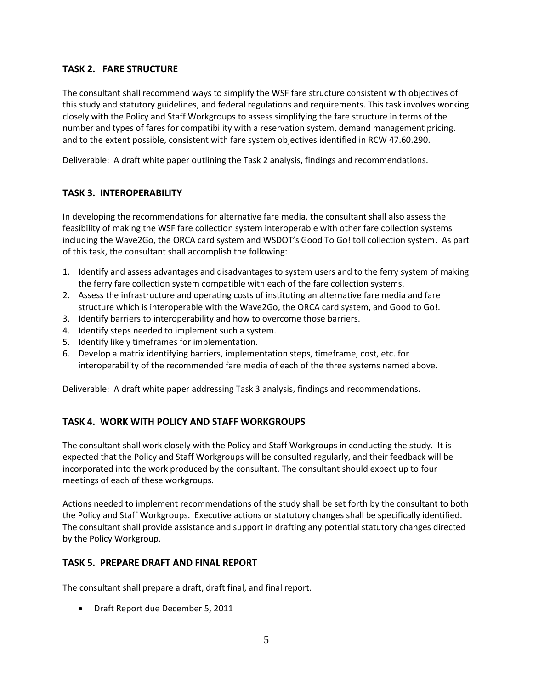## **TASK 2. FARE STRUCTURE**

The consultant shall recommend ways to simplify the WSF fare structure consistent with objectives of this study and statutory guidelines, and federal regulations and requirements. This task involves working closely with the Policy and Staff Workgroups to assess simplifying the fare structure in terms of the number and types of fares for compatibility with a reservation system, demand management pricing, and to the extent possible, consistent with fare system objectives identified in RCW 47.60.290.

Deliverable: A draft white paper outlining the Task 2 analysis, findings and recommendations.

#### **TASK 3. INTEROPERABILITY**

In developing the recommendations for alternative fare media, the consultant shall also assess the feasibility of making the WSF fare collection system interoperable with other fare collection systems including the Wave2Go, the ORCA card system and WSDOT's Good To Go! toll collection system. As part of this task, the consultant shall accomplish the following:

- 1. Identify and assess advantages and disadvantages to system users and to the ferry system of making the ferry fare collection system compatible with each of the fare collection systems.
- 2. Assess the infrastructure and operating costs of instituting an alternative fare media and fare structure which is interoperable with the Wave2Go, the ORCA card system, and Good to Go!.
- 3. Identify barriers to interoperability and how to overcome those barriers.
- 4. Identify steps needed to implement such a system.
- 5. Identify likely timeframes for implementation.
- 6. Develop a matrix identifying barriers, implementation steps, timeframe, cost, etc. for interoperability of the recommended fare media of each of the three systems named above.

Deliverable: A draft white paper addressing Task 3 analysis, findings and recommendations.

#### **TASK 4. WORK WITH POLICY AND STAFF WORKGROUPS**

The consultant shall work closely with the Policy and Staff Workgroups in conducting the study. It is expected that the Policy and Staff Workgroups will be consulted regularly, and their feedback will be incorporated into the work produced by the consultant. The consultant should expect up to four meetings of each of these workgroups.

Actions needed to implement recommendations of the study shall be set forth by the consultant to both the Policy and Staff Workgroups. Executive actions or statutory changes shall be specifically identified. The consultant shall provide assistance and support in drafting any potential statutory changes directed by the Policy Workgroup.

#### **TASK 5. PREPARE DRAFT AND FINAL REPORT**

The consultant shall prepare a draft, draft final, and final report.

Draft Report due December 5, 2011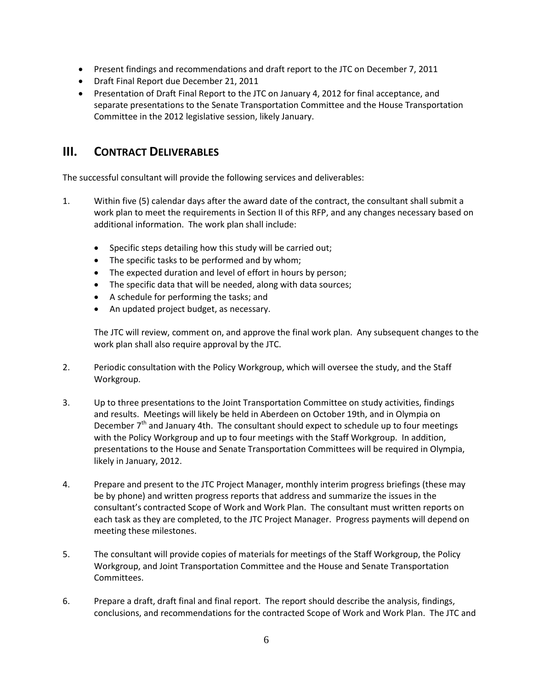- Present findings and recommendations and draft report to the JTC on December 7, 2011
- Draft Final Report due December 21, 2011
- Presentation of Draft Final Report to the JTC on January 4, 2012 for final acceptance, and separate presentations to the Senate Transportation Committee and the House Transportation Committee in the 2012 legislative session, likely January.

## **III. CONTRACT DELIVERABLES**

The successful consultant will provide the following services and deliverables:

- 1. Within five (5) calendar days after the award date of the contract, the consultant shall submit a work plan to meet the requirements in Section II of this RFP, and any changes necessary based on additional information. The work plan shall include:
	- Specific steps detailing how this study will be carried out;
	- The specific tasks to be performed and by whom;
	- The expected duration and level of effort in hours by person;
	- The specific data that will be needed, along with data sources;
	- A schedule for performing the tasks; and
	- An updated project budget, as necessary.

The JTC will review, comment on, and approve the final work plan. Any subsequent changes to the work plan shall also require approval by the JTC.

- 2. Periodic consultation with the Policy Workgroup, which will oversee the study, and the Staff Workgroup.
- 3. Up to three presentations to the Joint Transportation Committee on study activities, findings and results. Meetings will likely be held in Aberdeen on October 19th, and in Olympia on December  $7<sup>th</sup>$  and January 4th. The consultant should expect to schedule up to four meetings with the Policy Workgroup and up to four meetings with the Staff Workgroup. In addition, presentations to the House and Senate Transportation Committees will be required in Olympia, likely in January, 2012.
- 4. Prepare and present to the JTC Project Manager, monthly interim progress briefings (these may be by phone) and written progress reports that address and summarize the issues in the consultant's contracted Scope of Work and Work Plan. The consultant must written reports on each task as they are completed, to the JTC Project Manager. Progress payments will depend on meeting these milestones.
- 5. The consultant will provide copies of materials for meetings of the Staff Workgroup, the Policy Workgroup, and Joint Transportation Committee and the House and Senate Transportation Committees.
- 6. Prepare a draft, draft final and final report. The report should describe the analysis, findings, conclusions, and recommendations for the contracted Scope of Work and Work Plan. The JTC and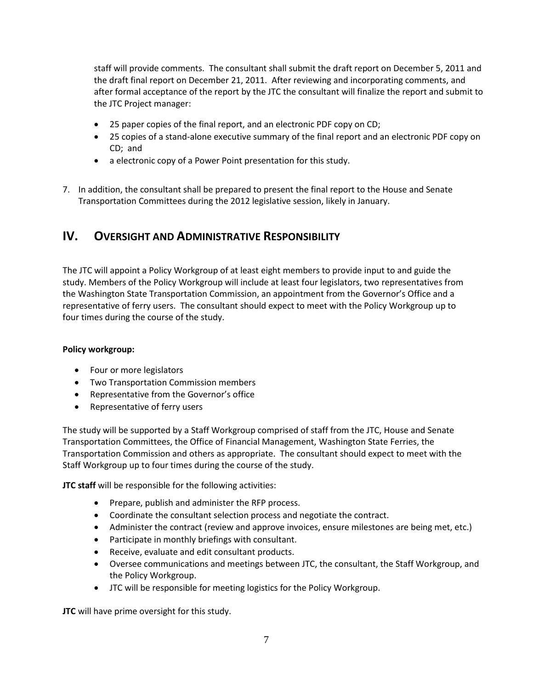staff will provide comments. The consultant shall submit the draft report on December 5, 2011 and the draft final report on December 21, 2011. After reviewing and incorporating comments, and after formal acceptance of the report by the JTC the consultant will finalize the report and submit to the JTC Project manager:

- 25 paper copies of the final report, and an electronic PDF copy on CD;
- 25 copies of a stand-alone executive summary of the final report and an electronic PDF copy on CD; and
- a electronic copy of a Power Point presentation for this study.
- 7. In addition, the consultant shall be prepared to present the final report to the House and Senate Transportation Committees during the 2012 legislative session, likely in January.

# **IV. OVERSIGHT AND ADMINISTRATIVE RESPONSIBILITY**

The JTC will appoint a Policy Workgroup of at least eight members to provide input to and guide the study. Members of the Policy Workgroup will include at least four legislators, two representatives from the Washington State Transportation Commission, an appointment from the Governor's Office and a representative of ferry users. The consultant should expect to meet with the Policy Workgroup up to four times during the course of the study.

#### **Policy workgroup:**

- Four or more legislators
- **•** Two Transportation Commission members
- Representative from the Governor's office
- Representative of ferry users

The study will be supported by a Staff Workgroup comprised of staff from the JTC, House and Senate Transportation Committees, the Office of Financial Management, Washington State Ferries, the Transportation Commission and others as appropriate. The consultant should expect to meet with the Staff Workgroup up to four times during the course of the study.

**JTC staff** will be responsible for the following activities:

- Prepare, publish and administer the RFP process.
- Coordinate the consultant selection process and negotiate the contract.
- Administer the contract (review and approve invoices, ensure milestones are being met, etc.)
- Participate in monthly briefings with consultant.
- Receive, evaluate and edit consultant products.
- Oversee communications and meetings between JTC, the consultant, the Staff Workgroup, and the Policy Workgroup.
- JTC will be responsible for meeting logistics for the Policy Workgroup.

**JTC** will have prime oversight for this study.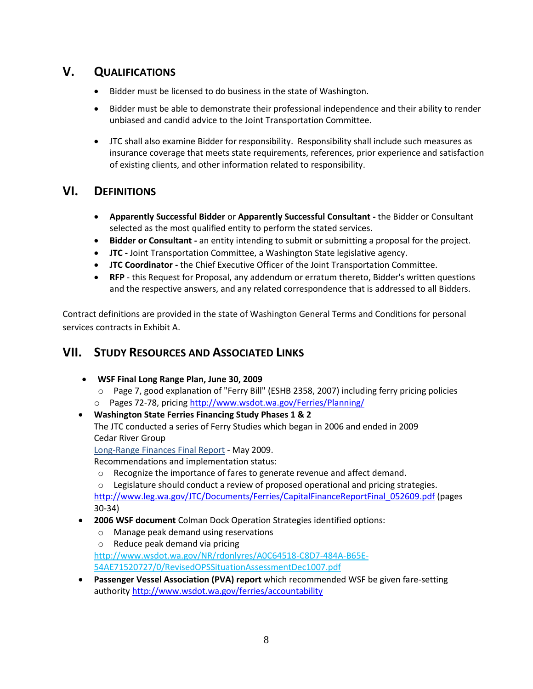# **V. QUALIFICATIONS**

- Bidder must be licensed to do business in the state of Washington.
- Bidder must be able to demonstrate their professional independence and their ability to render unbiased and candid advice to the Joint Transportation Committee.
- JTC shall also examine Bidder for responsibility. Responsibility shall include such measures as insurance coverage that meets state requirements, references, prior experience and satisfaction of existing clients, and other information related to responsibility.

# **VI. DEFINITIONS**

- **Apparently Successful Bidder** or **Apparently Successful Consultant -** the Bidder or Consultant selected as the most qualified entity to perform the stated services.
- **Bidder or Consultant -** an entity intending to submit or submitting a proposal for the project.
- **JTC -** Joint Transportation Committee, a Washington State legislative agency.
- **JTC Coordinator -** the Chief Executive Officer of the Joint Transportation Committee.
- **RFP** this Request for Proposal, any addendum or erratum thereto, Bidder's written questions and the respective answers, and any related correspondence that is addressed to all Bidders.

Contract definitions are provided in the state of Washington General Terms and Conditions for personal services contracts in Exhibit A.

# **VII. STUDY RESOURCES AND ASSOCIATED LINKS**

- **WSF Final Long Range Plan, June 30, 2009**
	- o Page 7, good explanation of "Ferry Bill" (ESHB 2358, 2007) including ferry pricing policies o Pages 72-78, pricing <http://www.wsdot.wa.gov/Ferries/Planning/>
- **Washington State Ferries Financing Study Phases 1 & 2** The JTC conducted a series of Ferry Studies which began in 2006 and ended in 2009 Cedar River Group [Long-Range Finances Final Report](http://www.leg.wa.gov/JTC/Documents/Ferries/CapitalFinanceReportFinal_052609.pdf) - May 2009.

Recommendations and implementation status:

o Recognize the importance of fares to generate revenue and affect demand.

 $\circ$  Legislature should conduct a review of proposed operational and pricing strategies. [http://www.leg.wa.gov/JTC/Documents/Ferries/CapitalFinanceReportFinal\\_052609.pdf](http://www.leg.wa.gov/JTC/Documents/Ferries/CapitalFinanceReportFinal_052609.pdf) (pages 30-34)

- **2006 WSF document** Colman Dock Operation Strategies identified options:
	- o Manage peak demand using reservations
	- o Reduce peak demand via pricing

[http://www.wsdot.wa.gov/NR/rdonlyres/A0C64518-C8D7-484A-B65E-](http://www.wsdot.wa.gov/NR/rdonlyres/A0C64518-C8D7-484A-B65E-54AE71520727/0/RevisedOPSSituationAssessmentDec1007.pdf)

[54AE71520727/0/RevisedOPSSituationAssessmentDec1007.pdf](http://www.wsdot.wa.gov/NR/rdonlyres/A0C64518-C8D7-484A-B65E-54AE71520727/0/RevisedOPSSituationAssessmentDec1007.pdf)

 **Passenger Vessel Association (PVA) report** which recommended WSF be given fare-setting authority<http://www.wsdot.wa.gov/ferries/accountability>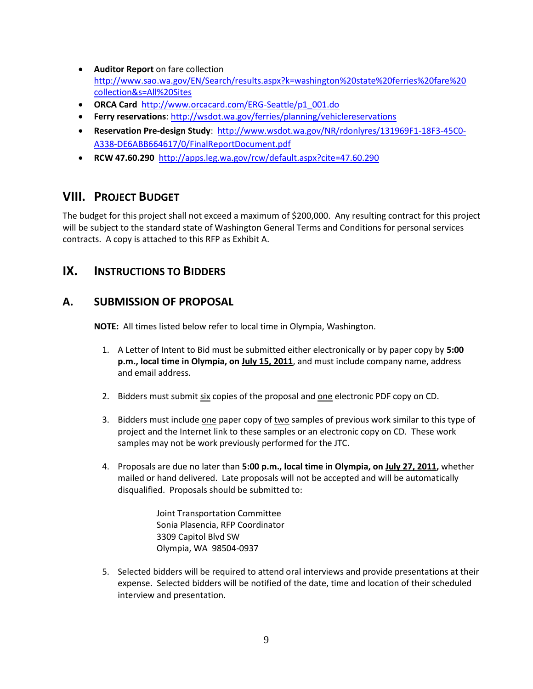- **Auditor Report** on fare collection [http://www.sao.wa.gov/EN/Search/results.aspx?k=washington%20state%20ferries%20fare%20](http://www.sao.wa.gov/EN/Search/results.aspx?k=washington%20state%20ferries%20fare%20collection&s=All%20Sites) [collection&s=All%20Sites](http://www.sao.wa.gov/EN/Search/results.aspx?k=washington%20state%20ferries%20fare%20collection&s=All%20Sites)
- **ORCA Card** [http://www.orcacard.com/ERG-Seattle/p1\\_001.do](http://www.orcacard.com/ERG-Seattle/p1_001.do)
- **Ferry reservations**:<http://wsdot.wa.gov/ferries/planning/vehiclereservations>
- **Reservation Pre-design Study**: [http://www.wsdot.wa.gov/NR/rdonlyres/131969F1-18F3-45C0-](http://www.wsdot.wa.gov/NR/rdonlyres/131969F1-18F3-45C0-A338-DE6ABB664617/0/FinalReportDocument.pdf) [A338-DE6ABB664617/0/FinalReportDocument.pdf](http://www.wsdot.wa.gov/NR/rdonlyres/131969F1-18F3-45C0-A338-DE6ABB664617/0/FinalReportDocument.pdf)
- **RCW 47.60.290** <http://apps.leg.wa.gov/rcw/default.aspx?cite=47.60.290>

# **VIII. PROJECT BUDGET**

The budget for this project shall not exceed a maximum of \$200,000. Any resulting contract for this project will be subject to the standard state of Washington General Terms and Conditions for personal services contracts. A copy is attached to this RFP as Exhibit A.

## **IX. INSTRUCTIONS TO BIDDERS**

## **A. SUBMISSION OF PROPOSAL**

**NOTE:** All times listed below refer to local time in Olympia, Washington.

- 1. A Letter of Intent to Bid must be submitted either electronically or by paper copy by **5:00 p.m., local time in Olympia, on July 15, 2011**, and must include company name, address and email address.
- 2. Bidders must submit six copies of the proposal and one electronic PDF copy on CD.
- 3. Bidders must include one paper copy of two samples of previous work similar to this type of project and the Internet link to these samples or an electronic copy on CD. These work samples may not be work previously performed for the JTC.
- 4. Proposals are due no later than **5:00 p.m., local time in Olympia, on July 27, 2011,** whether mailed or hand delivered. Late proposals will not be accepted and will be automatically disqualified. Proposals should be submitted to:

Joint Transportation Committee Sonia Plasencia, RFP Coordinator 3309 Capitol Blvd SW Olympia, WA 98504-0937

5. Selected bidders will be required to attend oral interviews and provide presentations at their expense. Selected bidders will be notified of the date, time and location of their scheduled interview and presentation.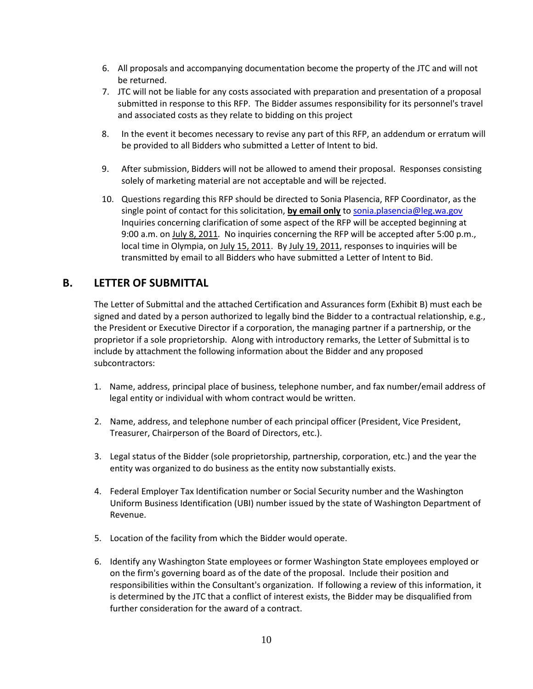- 6. All proposals and accompanying documentation become the property of the JTC and will not be returned.
- 7. JTC will not be liable for any costs associated with preparation and presentation of a proposal submitted in response to this RFP. The Bidder assumes responsibility for its personnel's travel and associated costs as they relate to bidding on this project
- 8. In the event it becomes necessary to revise any part of this RFP, an addendum or erratum will be provided to all Bidders who submitted a Letter of Intent to bid.
- 9. After submission, Bidders will not be allowed to amend their proposal. Responses consisting solely of marketing material are not acceptable and will be rejected.
- 10. Questions regarding this RFP should be directed to Sonia Plasencia, RFP Coordinator, as the single point of contact for this solicitation, **by email only** t[o sonia.plasencia@leg.wa.gov](mailto:sonia.plasencia@leg.wa.gov) Inquiries concerning clarification of some aspect of the RFP will be accepted beginning at 9:00 a.m. on July 8, 2011*.* No inquiries concerning the RFP will be accepted after 5:00 p.m., local time in Olympia, on July 15, 2011. By July 19, 2011, responses to inquiries will be transmitted by email to all Bidders who have submitted a Letter of Intent to Bid.

## **B. LETTER OF SUBMITTAL**

The Letter of Submittal and the attached Certification and Assurances form (Exhibit B) must each be signed and dated by a person authorized to legally bind the Bidder to a contractual relationship, e.g., the President or Executive Director if a corporation, the managing partner if a partnership, or the proprietor if a sole proprietorship. Along with introductory remarks, the Letter of Submittal is to include by attachment the following information about the Bidder and any proposed subcontractors:

- 1. Name, address, principal place of business, telephone number, and fax number/email address of legal entity or individual with whom contract would be written.
- 2. Name, address, and telephone number of each principal officer (President, Vice President, Treasurer, Chairperson of the Board of Directors, etc.).
- 3. Legal status of the Bidder (sole proprietorship, partnership, corporation, etc.) and the year the entity was organized to do business as the entity now substantially exists.
- 4. Federal Employer Tax Identification number or Social Security number and the Washington Uniform Business Identification (UBI) number issued by the state of Washington Department of Revenue.
- 5. Location of the facility from which the Bidder would operate.
- 6. Identify any Washington State employees or former Washington State employees employed or on the firm's governing board as of the date of the proposal. Include their position and responsibilities within the Consultant's organization. If following a review of this information, it is determined by the JTC that a conflict of interest exists, the Bidder may be disqualified from further consideration for the award of a contract.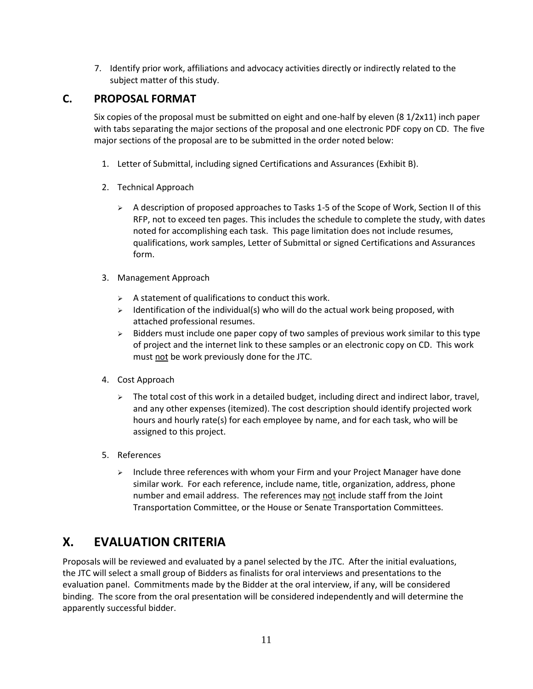7. Identify prior work, affiliations and advocacy activities directly or indirectly related to the subject matter of this study.

## **C. PROPOSAL FORMAT**

Six copies of the proposal must be submitted on eight and one-half by eleven (8 1/2x11) inch paper with tabs separating the major sections of the proposal and one electronic PDF copy on CD. The five major sections of the proposal are to be submitted in the order noted below:

- 1. Letter of Submittal, including signed Certifications and Assurances (Exhibit B).
- 2. Technical Approach
	- $\triangleright$  A description of proposed approaches to Tasks 1-5 of the Scope of Work, Section II of this RFP, not to exceed ten pages. This includes the schedule to complete the study, with dates noted for accomplishing each task. This page limitation does not include resumes, qualifications, work samples, Letter of Submittal or signed Certifications and Assurances form.
- 3. Management Approach
	- $\triangleright$  A statement of qualifications to conduct this work.
	- $\triangleright$  Identification of the individual(s) who will do the actual work being proposed, with attached professional resumes.
	- $\triangleright$  Bidders must include one paper copy of two samples of previous work similar to this type of project and the internet link to these samples or an electronic copy on CD. This work must not be work previously done for the JTC.
- 4. Cost Approach
	- $\triangleright$  The total cost of this work in a detailed budget, including direct and indirect labor, travel, and any other expenses (itemized). The cost description should identify projected work hours and hourly rate(s) for each employee by name, and for each task, who will be assigned to this project.
- 5. References
	- $\triangleright$  Include three references with whom your Firm and your Project Manager have done similar work. For each reference, include name, title, organization, address, phone number and email address. The references may not include staff from the Joint Transportation Committee, or the House or Senate Transportation Committees.

# **X. EVALUATION CRITERIA**

Proposals will be reviewed and evaluated by a panel selected by the JTC. After the initial evaluations, the JTC will select a small group of Bidders as finalists for oral interviews and presentations to the evaluation panel. Commitments made by the Bidder at the oral interview, if any, will be considered binding. The score from the oral presentation will be considered independently and will determine the apparently successful bidder.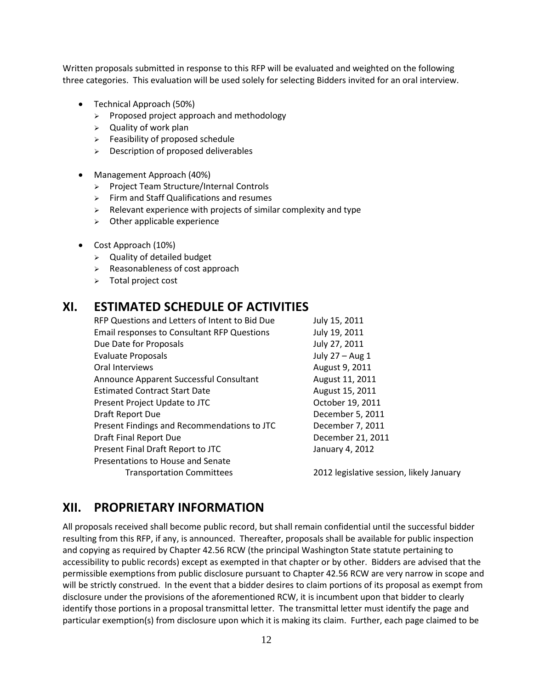Written proposals submitted in response to this RFP will be evaluated and weighted on the following three categories. This evaluation will be used solely for selecting Bidders invited for an oral interview.

- Technical Approach (50%)
	- $\triangleright$  Proposed project approach and methodology
	- $\triangleright$  Quality of work plan
	- $\triangleright$  Feasibility of proposed schedule
	- $\geq$  Description of proposed deliverables
- Management Approach (40%)
	- > Project Team Structure/Internal Controls
	- $\triangleright$  Firm and Staff Qualifications and resumes
	- $\triangleright$  Relevant experience with projects of similar complexity and type
	- $\triangleright$  Other applicable experience
- Cost Approach (10%)
	- $\triangleright$  Quality of detailed budget
	- $\triangleright$  Reasonableness of cost approach
	- > Total project cost

## **XI. ESTIMATED SCHEDULE OF ACTIVITIES**

| RFP Questions and Letters of Intent to Bid Due     | July 15, 2011                            |
|----------------------------------------------------|------------------------------------------|
| <b>Email responses to Consultant RFP Questions</b> | July 19, 2011                            |
| Due Date for Proposals                             | July 27, 2011                            |
| <b>Evaluate Proposals</b>                          | July 27 - Aug 1                          |
| Oral Interviews                                    | August 9, 2011                           |
| Announce Apparent Successful Consultant            | August 11, 2011                          |
| <b>Estimated Contract Start Date</b>               | August 15, 2011                          |
| Present Project Update to JTC                      | October 19, 2011                         |
| Draft Report Due                                   | December 5, 2011                         |
| Present Findings and Recommendations to JTC        | December 7, 2011                         |
| Draft Final Report Due                             | December 21, 2011                        |
| Present Final Draft Report to JTC                  | January 4, 2012                          |
| Presentations to House and Senate                  |                                          |
| <b>Transportation Committees</b>                   | 2012 legislative session, likely January |
|                                                    |                                          |

## **XII. PROPRIETARY INFORMATION**

All proposals received shall become public record, but shall remain confidential until the successful bidder resulting from this RFP, if any, is announced. Thereafter, proposals shall be available for public inspection and copying as required by Chapter 42.56 RCW (the principal Washington State statute pertaining to accessibility to public records) except as exempted in that chapter or by other. Bidders are advised that the permissible exemptions from public disclosure pursuant to Chapter 42.56 RCW are very narrow in scope and will be strictly construed. In the event that a bidder desires to claim portions of its proposal as exempt from disclosure under the provisions of the aforementioned RCW, it is incumbent upon that bidder to clearly identify those portions in a proposal transmittal letter. The transmittal letter must identify the page and particular exemption(s) from disclosure upon which it is making its claim. Further, each page claimed to be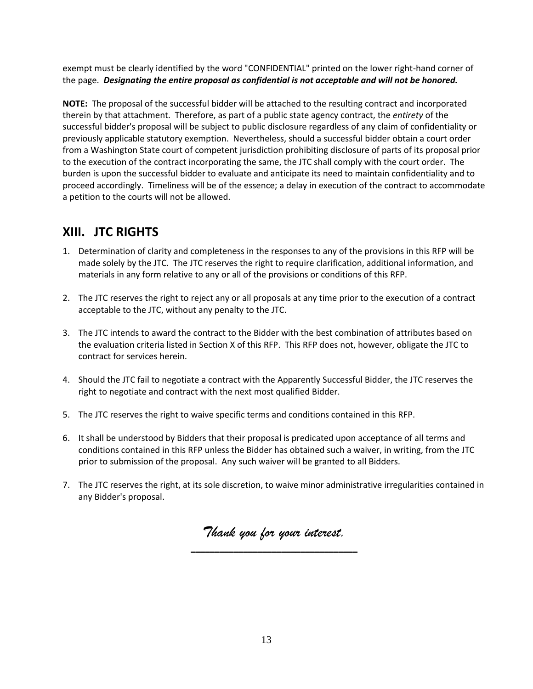exempt must be clearly identified by the word "CONFIDENTIAL" printed on the lower right-hand corner of the page. *Designating the entire proposal as confidential is not acceptable and will not be honored.*

**NOTE:** The proposal of the successful bidder will be attached to the resulting contract and incorporated therein by that attachment. Therefore, as part of a public state agency contract, the *entirety* of the successful bidder's proposal will be subject to public disclosure regardless of any claim of confidentiality or previously applicable statutory exemption. Nevertheless, should a successful bidder obtain a court order from a Washington State court of competent jurisdiction prohibiting disclosure of parts of its proposal prior to the execution of the contract incorporating the same, the JTC shall comply with the court order. The burden is upon the successful bidder to evaluate and anticipate its need to maintain confidentiality and to proceed accordingly. Timeliness will be of the essence; a delay in execution of the contract to accommodate a petition to the courts will not be allowed.

# **XIII. JTC RIGHTS**

- 1. Determination of clarity and completeness in the responses to any of the provisions in this RFP will be made solely by the JTC. The JTC reserves the right to require clarification, additional information, and materials in any form relative to any or all of the provisions or conditions of this RFP.
- 2. The JTC reserves the right to reject any or all proposals at any time prior to the execution of a contract acceptable to the JTC, without any penalty to the JTC.
- 3. The JTC intends to award the contract to the Bidder with the best combination of attributes based on the evaluation criteria listed in Section X of this RFP. This RFP does not, however, obligate the JTC to contract for services herein.
- 4. Should the JTC fail to negotiate a contract with the Apparently Successful Bidder, the JTC reserves the right to negotiate and contract with the next most qualified Bidder.
- 5. The JTC reserves the right to waive specific terms and conditions contained in this RFP.
- 6. It shall be understood by Bidders that their proposal is predicated upon acceptance of all terms and conditions contained in this RFP unless the Bidder has obtained such a waiver, in writing, from the JTC prior to submission of the proposal. Any such waiver will be granted to all Bidders.
- 7. The JTC reserves the right, at its sole discretion, to waive minor administrative irregularities contained in any Bidder's proposal.

*Thank you for your interest.* **\_\_\_\_\_\_\_\_\_\_\_\_\_\_\_\_\_\_\_\_\_\_\_\_\_\_\_\_\_\_\_\_\_\_\_**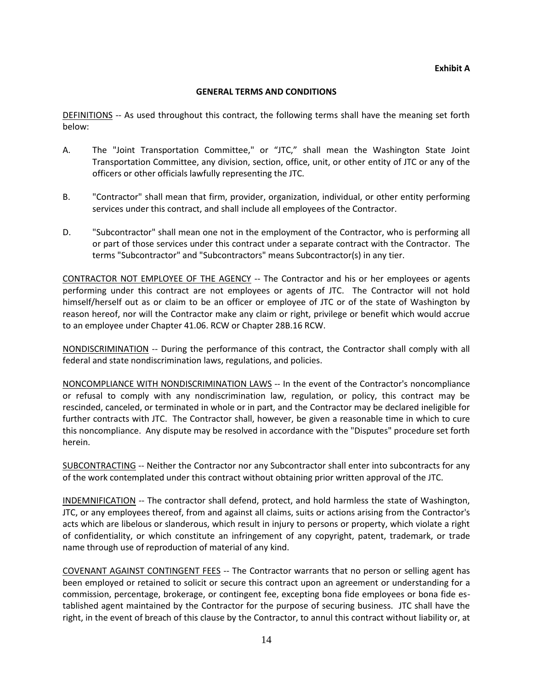#### **GENERAL TERMS AND CONDITIONS**

DEFINITIONS -- As used throughout this contract, the following terms shall have the meaning set forth below:

- A. The "Joint Transportation Committee," or "JTC," shall mean the Washington State Joint Transportation Committee, any division, section, office, unit, or other entity of JTC or any of the officers or other officials lawfully representing the JTC.
- B. "Contractor" shall mean that firm, provider, organization, individual, or other entity performing services under this contract, and shall include all employees of the Contractor.
- D. "Subcontractor" shall mean one not in the employment of the Contractor, who is performing all or part of those services under this contract under a separate contract with the Contractor. The terms "Subcontractor" and "Subcontractors" means Subcontractor(s) in any tier.

CONTRACTOR NOT EMPLOYEE OF THE AGENCY -- The Contractor and his or her employees or agents performing under this contract are not employees or agents of JTC. The Contractor will not hold himself/herself out as or claim to be an officer or employee of JTC or of the state of Washington by reason hereof, nor will the Contractor make any claim or right, privilege or benefit which would accrue to an employee under Chapter 41.06. RCW or Chapter 28B.16 RCW.

NONDISCRIMINATION -- During the performance of this contract, the Contractor shall comply with all federal and state nondiscrimination laws, regulations, and policies.

NONCOMPLIANCE WITH NONDISCRIMINATION LAWS -- In the event of the Contractor's noncompliance or refusal to comply with any nondiscrimination law, regulation, or policy, this contract may be rescinded, canceled, or terminated in whole or in part, and the Contractor may be declared ineligible for further contracts with JTC. The Contractor shall, however, be given a reasonable time in which to cure this noncompliance. Any dispute may be resolved in accordance with the "Disputes" procedure set forth herein.

SUBCONTRACTING -- Neither the Contractor nor any Subcontractor shall enter into subcontracts for any of the work contemplated under this contract without obtaining prior written approval of the JTC.

INDEMNIFICATION -- The contractor shall defend, protect, and hold harmless the state of Washington, JTC, or any employees thereof, from and against all claims, suits or actions arising from the Contractor's acts which are libelous or slanderous, which result in injury to persons or property, which violate a right of confidentiality, or which constitute an infringement of any copyright, patent, trademark, or trade name through use of reproduction of material of any kind.

COVENANT AGAINST CONTINGENT FEES -- The Contractor warrants that no person or selling agent has been employed or retained to solicit or secure this contract upon an agreement or understanding for a commission, percentage, brokerage, or contingent fee, excepting bona fide employees or bona fide established agent maintained by the Contractor for the purpose of securing business. JTC shall have the right, in the event of breach of this clause by the Contractor, to annul this contract without liability or, at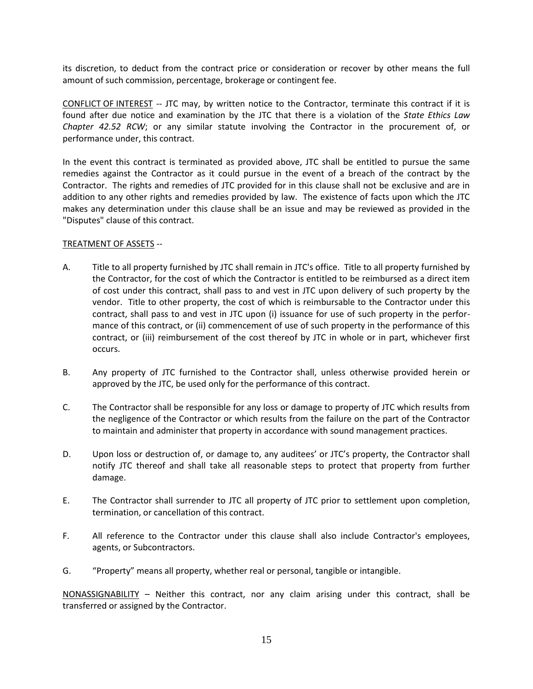its discretion, to deduct from the contract price or consideration or recover by other means the full amount of such commission, percentage, brokerage or contingent fee.

CONFLICT OF INTEREST -- JTC may, by written notice to the Contractor, terminate this contract if it is found after due notice and examination by the JTC that there is a violation of the *State Ethics Law Chapter 42.52 RCW*; or any similar statute involving the Contractor in the procurement of, or performance under, this contract.

In the event this contract is terminated as provided above, JTC shall be entitled to pursue the same remedies against the Contractor as it could pursue in the event of a breach of the contract by the Contractor. The rights and remedies of JTC provided for in this clause shall not be exclusive and are in addition to any other rights and remedies provided by law. The existence of facts upon which the JTC makes any determination under this clause shall be an issue and may be reviewed as provided in the "Disputes" clause of this contract.

#### TREATMENT OF ASSETS --

- A. Title to all property furnished by JTC shall remain in JTC's office. Title to all property furnished by the Contractor, for the cost of which the Contractor is entitled to be reimbursed as a direct item of cost under this contract, shall pass to and vest in JTC upon delivery of such property by the vendor. Title to other property, the cost of which is reimbursable to the Contractor under this contract, shall pass to and vest in JTC upon (i) issuance for use of such property in the performance of this contract, or (ii) commencement of use of such property in the performance of this contract, or (iii) reimbursement of the cost thereof by JTC in whole or in part, whichever first occurs.
- B. Any property of JTC furnished to the Contractor shall, unless otherwise provided herein or approved by the JTC, be used only for the performance of this contract.
- C. The Contractor shall be responsible for any loss or damage to property of JTC which results from the negligence of the Contractor or which results from the failure on the part of the Contractor to maintain and administer that property in accordance with sound management practices.
- D. Upon loss or destruction of, or damage to, any auditees' or JTC's property, the Contractor shall notify JTC thereof and shall take all reasonable steps to protect that property from further damage.
- E. The Contractor shall surrender to JTC all property of JTC prior to settlement upon completion, termination, or cancellation of this contract.
- F. All reference to the Contractor under this clause shall also include Contractor's employees, agents, or Subcontractors.
- G. "Property" means all property, whether real or personal, tangible or intangible.

NONASSIGNABILITY – Neither this contract, nor any claim arising under this contract, shall be transferred or assigned by the Contractor.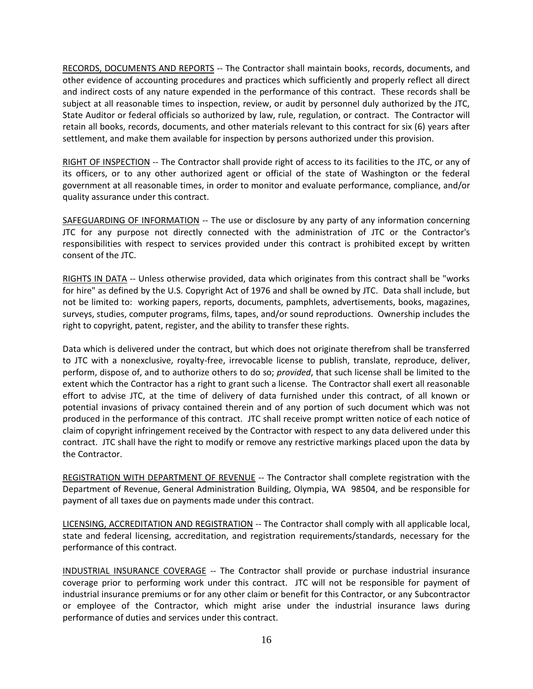RECORDS, DOCUMENTS AND REPORTS -- The Contractor shall maintain books, records, documents, and other evidence of accounting procedures and practices which sufficiently and properly reflect all direct and indirect costs of any nature expended in the performance of this contract. These records shall be subject at all reasonable times to inspection, review, or audit by personnel duly authorized by the JTC, State Auditor or federal officials so authorized by law, rule, regulation, or contract. The Contractor will retain all books, records, documents, and other materials relevant to this contract for six (6) years after settlement, and make them available for inspection by persons authorized under this provision.

RIGHT OF INSPECTION -- The Contractor shall provide right of access to its facilities to the JTC, or any of its officers, or to any other authorized agent or official of the state of Washington or the federal government at all reasonable times, in order to monitor and evaluate performance, compliance, and/or quality assurance under this contract.

SAFEGUARDING OF INFORMATION -- The use or disclosure by any party of any information concerning JTC for any purpose not directly connected with the administration of JTC or the Contractor's responsibilities with respect to services provided under this contract is prohibited except by written consent of the JTC.

RIGHTS IN DATA -- Unless otherwise provided, data which originates from this contract shall be "works for hire" as defined by the U.S. Copyright Act of 1976 and shall be owned by JTC. Data shall include, but not be limited to: working papers, reports, documents, pamphlets, advertisements, books, magazines, surveys, studies, computer programs, films, tapes, and/or sound reproductions. Ownership includes the right to copyright, patent, register, and the ability to transfer these rights.

Data which is delivered under the contract, but which does not originate therefrom shall be transferred to JTC with a nonexclusive, royalty-free, irrevocable license to publish, translate, reproduce, deliver, perform, dispose of, and to authorize others to do so; *provided*, that such license shall be limited to the extent which the Contractor has a right to grant such a license. The Contractor shall exert all reasonable effort to advise JTC, at the time of delivery of data furnished under this contract, of all known or potential invasions of privacy contained therein and of any portion of such document which was not produced in the performance of this contract. JTC shall receive prompt written notice of each notice of claim of copyright infringement received by the Contractor with respect to any data delivered under this contract. JTC shall have the right to modify or remove any restrictive markings placed upon the data by the Contractor.

REGISTRATION WITH DEPARTMENT OF REVENUE -- The Contractor shall complete registration with the Department of Revenue, General Administration Building, Olympia, WA 98504, and be responsible for payment of all taxes due on payments made under this contract.

LICENSING, ACCREDITATION AND REGISTRATION -- The Contractor shall comply with all applicable local, state and federal licensing, accreditation, and registration requirements/standards, necessary for the performance of this contract.

INDUSTRIAL INSURANCE COVERAGE -- The Contractor shall provide or purchase industrial insurance coverage prior to performing work under this contract. JTC will not be responsible for payment of industrial insurance premiums or for any other claim or benefit for this Contractor, or any Subcontractor or employee of the Contractor, which might arise under the industrial insurance laws during performance of duties and services under this contract.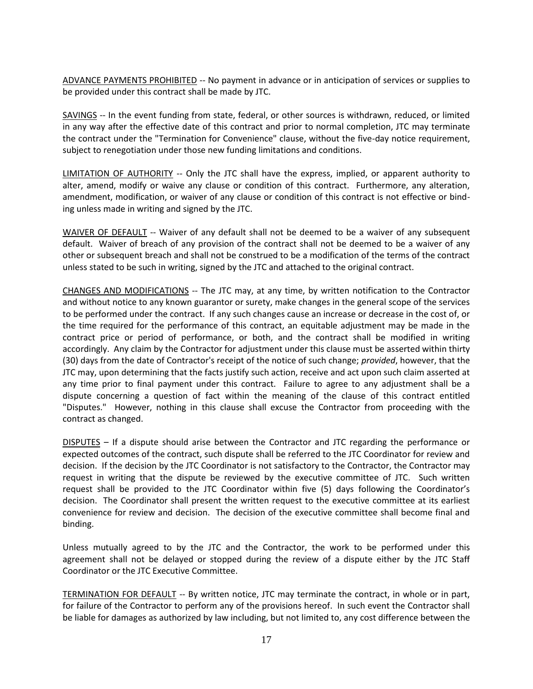ADVANCE PAYMENTS PROHIBITED -- No payment in advance or in anticipation of services or supplies to be provided under this contract shall be made by JTC.

SAVINGS -- In the event funding from state, federal, or other sources is withdrawn, reduced, or limited in any way after the effective date of this contract and prior to normal completion, JTC may terminate the contract under the "Termination for Convenience" clause, without the five-day notice requirement, subject to renegotiation under those new funding limitations and conditions.

LIMITATION OF AUTHORITY -- Only the JTC shall have the express, implied, or apparent authority to alter, amend, modify or waive any clause or condition of this contract. Furthermore, any alteration, amendment, modification, or waiver of any clause or condition of this contract is not effective or binding unless made in writing and signed by the JTC.

WAIVER OF DEFAULT -- Waiver of any default shall not be deemed to be a waiver of any subsequent default. Waiver of breach of any provision of the contract shall not be deemed to be a waiver of any other or subsequent breach and shall not be construed to be a modification of the terms of the contract unless stated to be such in writing, signed by the JTC and attached to the original contract.

CHANGES AND MODIFICATIONS -- The JTC may, at any time, by written notification to the Contractor and without notice to any known guarantor or surety, make changes in the general scope of the services to be performed under the contract. If any such changes cause an increase or decrease in the cost of, or the time required for the performance of this contract, an equitable adjustment may be made in the contract price or period of performance, or both, and the contract shall be modified in writing accordingly. Any claim by the Contractor for adjustment under this clause must be asserted within thirty (30) days from the date of Contractor's receipt of the notice of such change; *provided*, however, that the JTC may, upon determining that the facts justify such action, receive and act upon such claim asserted at any time prior to final payment under this contract. Failure to agree to any adjustment shall be a dispute concerning a question of fact within the meaning of the clause of this contract entitled "Disputes." However, nothing in this clause shall excuse the Contractor from proceeding with the contract as changed.

DISPUTES – If a dispute should arise between the Contractor and JTC regarding the performance or expected outcomes of the contract, such dispute shall be referred to the JTC Coordinator for review and decision. If the decision by the JTC Coordinator is not satisfactory to the Contractor, the Contractor may request in writing that the dispute be reviewed by the executive committee of JTC. Such written request shall be provided to the JTC Coordinator within five (5) days following the Coordinator's decision. The Coordinator shall present the written request to the executive committee at its earliest convenience for review and decision. The decision of the executive committee shall become final and binding.

Unless mutually agreed to by the JTC and the Contractor, the work to be performed under this agreement shall not be delayed or stopped during the review of a dispute either by the JTC Staff Coordinator or the JTC Executive Committee.

TERMINATION FOR DEFAULT -- By written notice, JTC may terminate the contract, in whole or in part, for failure of the Contractor to perform any of the provisions hereof. In such event the Contractor shall be liable for damages as authorized by law including, but not limited to, any cost difference between the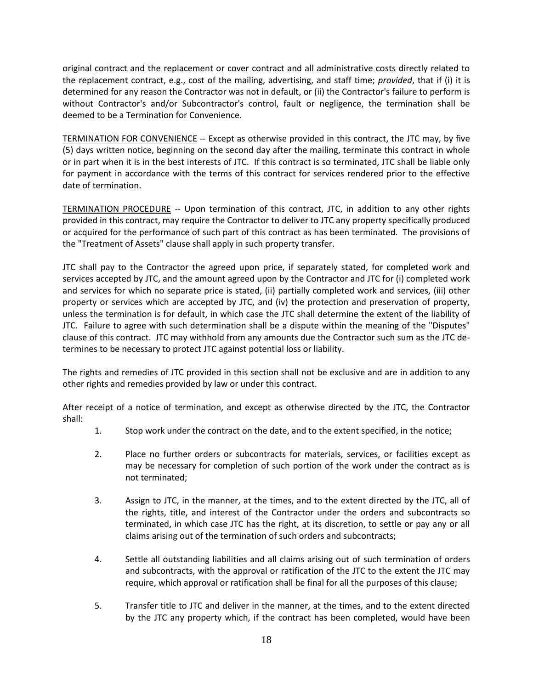original contract and the replacement or cover contract and all administrative costs directly related to the replacement contract, e.g., cost of the mailing, advertising, and staff time; *provided*, that if (i) it is determined for any reason the Contractor was not in default, or (ii) the Contractor's failure to perform is without Contractor's and/or Subcontractor's control, fault or negligence, the termination shall be deemed to be a Termination for Convenience.

TERMINATION FOR CONVENIENCE -- Except as otherwise provided in this contract, the JTC may, by five (5) days written notice, beginning on the second day after the mailing, terminate this contract in whole or in part when it is in the best interests of JTC. If this contract is so terminated, JTC shall be liable only for payment in accordance with the terms of this contract for services rendered prior to the effective date of termination.

TERMINATION PROCEDURE -- Upon termination of this contract, JTC, in addition to any other rights provided in this contract, may require the Contractor to deliver to JTC any property specifically produced or acquired for the performance of such part of this contract as has been terminated. The provisions of the "Treatment of Assets" clause shall apply in such property transfer.

JTC shall pay to the Contractor the agreed upon price, if separately stated, for completed work and services accepted by JTC, and the amount agreed upon by the Contractor and JTC for (i) completed work and services for which no separate price is stated, (ii) partially completed work and services, (iii) other property or services which are accepted by JTC, and (iv) the protection and preservation of property, unless the termination is for default, in which case the JTC shall determine the extent of the liability of JTC. Failure to agree with such determination shall be a dispute within the meaning of the "Disputes" clause of this contract. JTC may withhold from any amounts due the Contractor such sum as the JTC determines to be necessary to protect JTC against potential loss or liability.

The rights and remedies of JTC provided in this section shall not be exclusive and are in addition to any other rights and remedies provided by law or under this contract.

After receipt of a notice of termination, and except as otherwise directed by the JTC, the Contractor shall:

- 1. Stop work under the contract on the date, and to the extent specified, in the notice;
- 2. Place no further orders or subcontracts for materials, services, or facilities except as may be necessary for completion of such portion of the work under the contract as is not terminated;
- 3. Assign to JTC, in the manner, at the times, and to the extent directed by the JTC, all of the rights, title, and interest of the Contractor under the orders and subcontracts so terminated, in which case JTC has the right, at its discretion, to settle or pay any or all claims arising out of the termination of such orders and subcontracts;
- 4. Settle all outstanding liabilities and all claims arising out of such termination of orders and subcontracts, with the approval or ratification of the JTC to the extent the JTC may require, which approval or ratification shall be final for all the purposes of this clause;
- 5. Transfer title to JTC and deliver in the manner, at the times, and to the extent directed by the JTC any property which, if the contract has been completed, would have been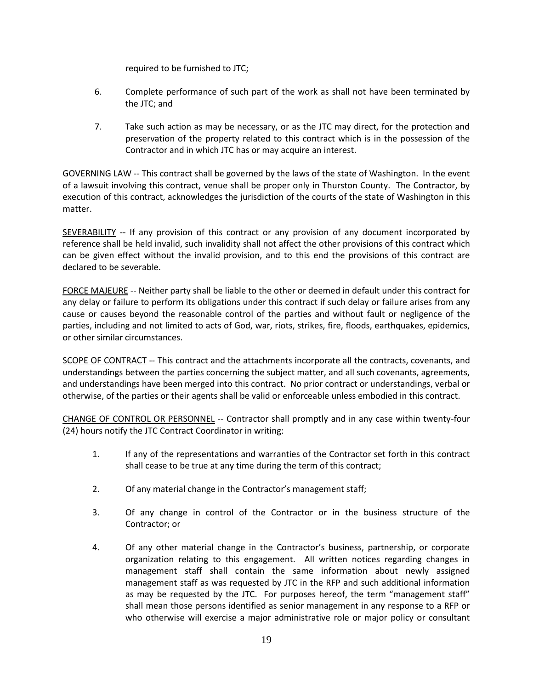required to be furnished to JTC;

- 6. Complete performance of such part of the work as shall not have been terminated by the JTC; and
- 7. Take such action as may be necessary, or as the JTC may direct, for the protection and preservation of the property related to this contract which is in the possession of the Contractor and in which JTC has or may acquire an interest.

GOVERNING LAW -- This contract shall be governed by the laws of the state of Washington. In the event of a lawsuit involving this contract, venue shall be proper only in Thurston County. The Contractor, by execution of this contract, acknowledges the jurisdiction of the courts of the state of Washington in this matter.

SEVERABILITY -- If any provision of this contract or any provision of any document incorporated by reference shall be held invalid, such invalidity shall not affect the other provisions of this contract which can be given effect without the invalid provision, and to this end the provisions of this contract are declared to be severable.

FORCE MAJEURE -- Neither party shall be liable to the other or deemed in default under this contract for any delay or failure to perform its obligations under this contract if such delay or failure arises from any cause or causes beyond the reasonable control of the parties and without fault or negligence of the parties, including and not limited to acts of God, war, riots, strikes, fire, floods, earthquakes, epidemics, or other similar circumstances.

SCOPE OF CONTRACT -- This contract and the attachments incorporate all the contracts, covenants, and understandings between the parties concerning the subject matter, and all such covenants, agreements, and understandings have been merged into this contract. No prior contract or understandings, verbal or otherwise, of the parties or their agents shall be valid or enforceable unless embodied in this contract.

CHANGE OF CONTROL OR PERSONNEL -- Contractor shall promptly and in any case within twenty-four (24) hours notify the JTC Contract Coordinator in writing:

- 1. If any of the representations and warranties of the Contractor set forth in this contract shall cease to be true at any time during the term of this contract;
- 2. Of any material change in the Contractor's management staff;
- 3. Of any change in control of the Contractor or in the business structure of the Contractor; or
- 4. Of any other material change in the Contractor's business, partnership, or corporate organization relating to this engagement. All written notices regarding changes in management staff shall contain the same information about newly assigned management staff as was requested by JTC in the RFP and such additional information as may be requested by the JTC. For purposes hereof, the term "management staff" shall mean those persons identified as senior management in any response to a RFP or who otherwise will exercise a major administrative role or major policy or consultant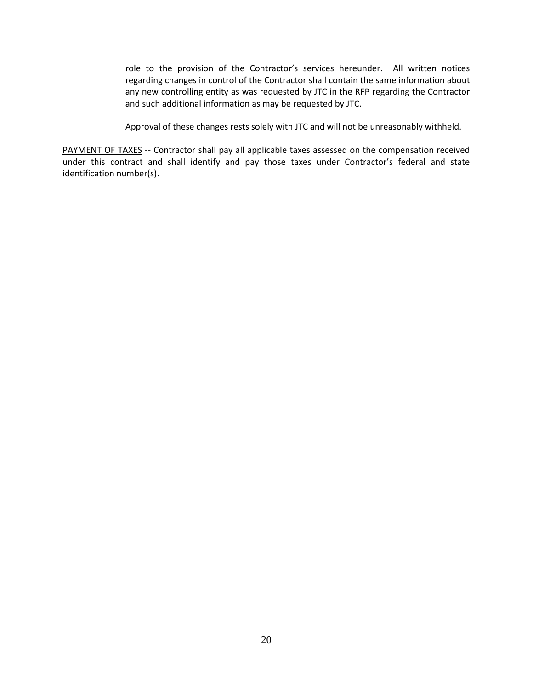role to the provision of the Contractor's services hereunder. All written notices regarding changes in control of the Contractor shall contain the same information about any new controlling entity as was requested by JTC in the RFP regarding the Contractor and such additional information as may be requested by JTC.

Approval of these changes rests solely with JTC and will not be unreasonably withheld.

PAYMENT OF TAXES -- Contractor shall pay all applicable taxes assessed on the compensation received under this contract and shall identify and pay those taxes under Contractor's federal and state identification number(s).